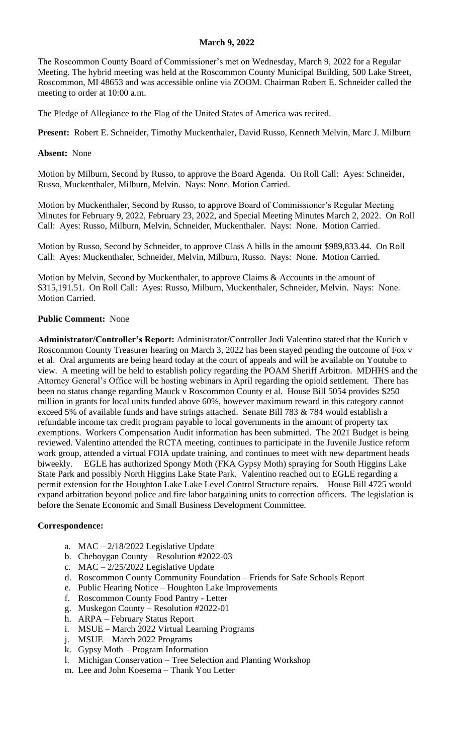## **March 9, 2022**

The Roscommon County Board of Commissioner's met on Wednesday, March 9, 2022 for a Regular Meeting. The hybrid meeting was held at the Roscommon County Municipal Building, 500 Lake Street, Roscommon, MI 48653 and was accessible online via ZOOM. Chairman Robert E. Schneider called the meeting to order at 10:00 a.m.

The Pledge of Allegiance to the Flag of the United States of America was recited.

**Present:** Robert E. Schneider, Timothy Muckenthaler, David Russo, Kenneth Melvin, Marc J. Milburn

**Absent:** None

Motion by Milburn, Second by Russo, to approve the Board Agenda. On Roll Call: Ayes: Schneider, Russo, Muckenthaler, Milburn, Melvin. Nays: None. Motion Carried.

Motion by Muckenthaler, Second by Russo, to approve Board of Commissioner's Regular Meeting Minutes for February 9, 2022, February 23, 2022, and Special Meeting Minutes March 2, 2022. On Roll Call: Ayes: Russo, Milburn, Melvin, Schneider, Muckenthaler. Nays: None. Motion Carried.

Motion by Russo, Second by Schneider, to approve Class A bills in the amount \$989,833.44. On Roll Call: Ayes: Muckenthaler, Schneider, Melvin, Milburn, Russo. Nays: None. Motion Carried.

Motion by Melvin, Second by Muckenthaler, to approve Claims & Accounts in the amount of \$315,191.51. On Roll Call: Ayes: Russo, Milburn, Muckenthaler, Schneider, Melvin. Nays: None. Motion Carried.

## **Public Comment:** None

**Administrator/Controller's Report:** Administrator/Controller Jodi Valentino stated that the Kurich v Roscommon County Treasurer hearing on March 3, 2022 has been stayed pending the outcome of Fox v et al. Oral arguments are being heard today at the court of appeals and will be available on Youtube to view. A meeting will be held to establish policy regarding the POAM Sheriff Arbitron. MDHHS and the Attorney General's Office will be hosting webinars in April regarding the opioid settlement. There has been no status change regarding Mauck v Roscommon County et al. House Bill 5054 provides \$250 million in grants for local units funded above 60%, however maximum reward in this category cannot exceed 5% of available funds and have strings attached. Senate Bill 783 & 784 would establish a refundable income tax credit program payable to local governments in the amount of property tax exemptions. Workers Compensation Audit information has been submitted. The 2021 Budget is being reviewed. Valentino attended the RCTA meeting, continues to participate in the Juvenile Justice reform work group, attended a virtual FOIA update training, and continues to meet with new department heads biweekly. EGLE has authorized Spongy Moth (FKA Gypsy Moth) spraying for South Higgins Lake State Park and possibly North Higgins Lake State Park. Valentino reached out to EGLE regarding a permit extension for the Houghton Lake Lake Level Control Structure repairs. House Bill 4725 would expand arbitration beyond police and fire labor bargaining units to correction officers. The legislation is before the Senate Economic and Small Business Development Committee.

## **Correspondence:**

- a. MAC 2/18/2022 Legislative Update
- b. Cheboygan County Resolution #2022-03
- c. MAC 2/25/2022 Legislative Update
- d. Roscommon County Community Foundation Friends for Safe Schools Report
- e. Public Hearing Notice Houghton Lake Improvements
- f. Roscommon County Food Pantry Letter
- g. Muskegon County Resolution #2022-01
- h. ARPA February Status Report
- i. MSUE March 2022 Virtual Learning Programs
- j. MSUE March 2022 Programs
- k. Gypsy Moth Program Information
- l. Michigan Conservation Tree Selection and Planting Workshop
- m. Lee and John Koesema Thank You Letter